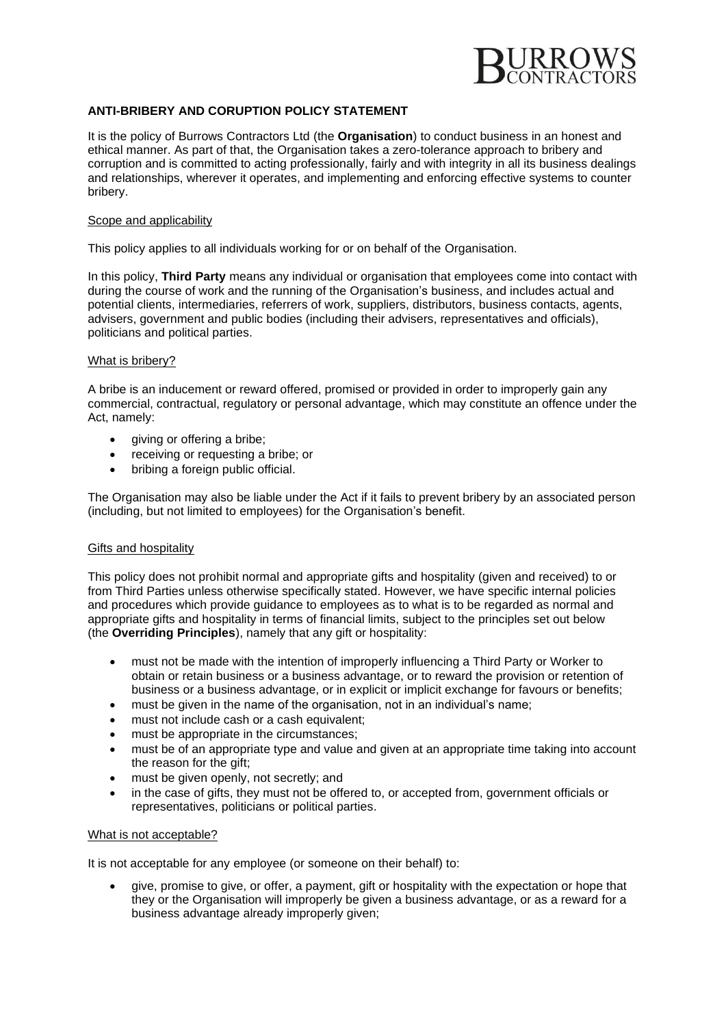

# **ANTI-BRIBERY AND CORUPTION POLICY STATEMENT**

It is the policy of Burrows Contractors Ltd (the **Organisation**) to conduct business in an honest and ethical manner. As part of that, the Organisation takes a zero-tolerance approach to bribery and corruption and is committed to acting professionally, fairly and with integrity in all its business dealings and relationships, wherever it operates, and implementing and enforcing effective systems to counter bribery.

#### Scope and applicability

This policy applies to all individuals working for or on behalf of the Organisation.

In this policy, **Third Party** means any individual or organisation that employees come into contact with during the course of work and the running of the Organisation's business, and includes actual and potential clients, intermediaries, referrers of work, suppliers, distributors, business contacts, agents, advisers, government and public bodies (including their advisers, representatives and officials), politicians and political parties.

#### What is bribery?

A bribe is an inducement or reward offered, promised or provided in order to improperly gain any commercial, contractual, regulatory or personal advantage, which may constitute an offence under the Act, namely:

- giving or offering a bribe;
- receiving or requesting a bribe; or
- bribing a foreign public official.

The Organisation may also be liable under the Act if it fails to prevent bribery by an associated person (including, but not limited to employees) for the Organisation's benefit.

## Gifts and hospitality

This policy does not prohibit normal and appropriate gifts and hospitality (given and received) to or from Third Parties unless otherwise specifically stated. However, we have specific internal policies and procedures which provide guidance to employees as to what is to be regarded as normal and appropriate gifts and hospitality in terms of financial limits, subject to the principles set out below (the **Overriding Principles**), namely that any gift or hospitality:

- must not be made with the intention of improperly influencing a Third Party or Worker to obtain or retain business or a business advantage, or to reward the provision or retention of business or a business advantage, or in explicit or implicit exchange for favours or benefits;
- must be given in the name of the organisation, not in an individual's name;
- must not include cash or a cash equivalent;
- must be appropriate in the circumstances;
- must be of an appropriate type and value and given at an appropriate time taking into account the reason for the gift;
- must be given openly, not secretly; and
- in the case of gifts, they must not be offered to, or accepted from, government officials or representatives, politicians or political parties.

#### What is not acceptable?

It is not acceptable for any employee (or someone on their behalf) to:

• give, promise to give, or offer, a payment, gift or hospitality with the expectation or hope that they or the Organisation will improperly be given a business advantage, or as a reward for a business advantage already improperly given;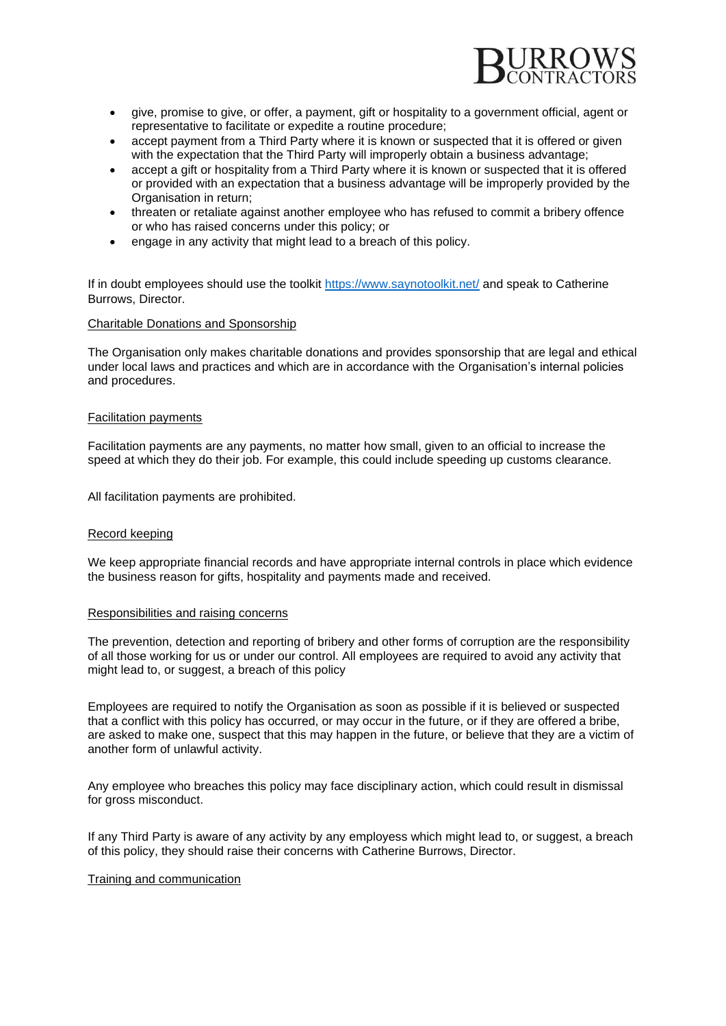

- give, promise to give, or offer, a payment, gift or hospitality to a government official, agent or representative to facilitate or expedite a routine procedure;
- accept payment from a Third Party where it is known or suspected that it is offered or given with the expectation that the Third Party will improperly obtain a business advantage;
- accept a gift or hospitality from a Third Party where it is known or suspected that it is offered or provided with an expectation that a business advantage will be improperly provided by the Organisation in return;
- threaten or retaliate against another employee who has refused to commit a bribery offence or who has raised concerns under this policy; or
- engage in any activity that might lead to a breach of this policy.

If in doubt employees should use the toolkit <https://www.saynotoolkit.net/> and speak to Catherine Burrows, Director.

## Charitable Donations and Sponsorship

The Organisation only makes charitable donations and provides sponsorship that are legal and ethical under local laws and practices and which are in accordance with the Organisation's internal policies and procedures.

## Facilitation payments

Facilitation payments are any payments, no matter how small, given to an official to increase the speed at which they do their job. For example, this could include speeding up customs clearance.

All facilitation payments are prohibited.

## Record keeping

We keep appropriate financial records and have appropriate internal controls in place which evidence the business reason for gifts, hospitality and payments made and received.

#### Responsibilities and raising concerns

The prevention, detection and reporting of bribery and other forms of corruption are the responsibility of all those working for us or under our control. All employees are required to avoid any activity that might lead to, or suggest, a breach of this policy

Employees are required to notify the Organisation as soon as possible if it is believed or suspected that a conflict with this policy has occurred, or may occur in the future, or if they are offered a bribe, are asked to make one, suspect that this may happen in the future, or believe that they are a victim of another form of unlawful activity.

Any employee who breaches this policy may face disciplinary action, which could result in dismissal for gross misconduct.

If any Third Party is aware of any activity by any employess which might lead to, or suggest, a breach of this policy, they should raise their concerns with Catherine Burrows, Director.

#### Training and communication